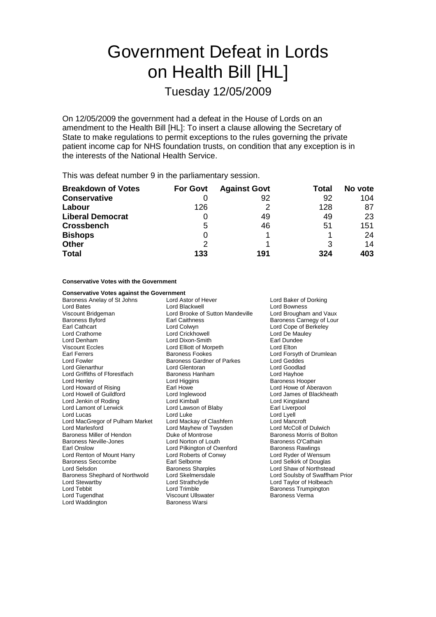# Government Defeat in Lords on Health Bill [HL]

Tuesday 12/05/2009

On 12/05/2009 the government had a defeat in the House of Lords on an amendment to the Health Bill [HL]: To insert a clause allowing the Secretary of State to make regulations to permit exceptions to the rules governing the private patient income cap for NHS foundation trusts, on condition that any exception is in the interests of the National Health Service.

This was defeat number 9 in the parliamentary session.

| <b>Breakdown of Votes</b> | <b>For Govt</b> | <b>Against Govt</b> | Total | No vote |
|---------------------------|-----------------|---------------------|-------|---------|
| <b>Conservative</b>       |                 | 92                  | 92    | 104     |
| Labour                    | 126             |                     | 128   | 87      |
| <b>Liberal Democrat</b>   |                 | 49                  | 49    | 23      |
| <b>Crossbench</b>         | 5               | 46                  | 51    | 151     |
| <b>Bishops</b>            | O               |                     |       | 24      |
| <b>Other</b>              | $\mathcal{P}$   |                     |       | 14      |
| <b>Total</b>              | 133             | 191                 | 324   | 403     |

**Conservative Votes with the Government**

| <b>Conservative Votes against the Government</b> |                                              |                                |  |
|--------------------------------------------------|----------------------------------------------|--------------------------------|--|
| Baroness Anelay of St Johns                      | Lord Astor of Hever<br>Lord Baker of Dorking |                                |  |
| Lord Bates                                       | Lord Blackwell                               | Lord Bowness                   |  |
| Viscount Bridgeman                               | Lord Brooke of Sutton Mandeville             | Lord Brougham and Vaux         |  |
| Baroness Byford                                  | Baroness Carnegy of Lour<br>Earl Caithness   |                                |  |
| Earl Cathcart                                    | Lord Colwyn                                  | Lord Cope of Berkeley          |  |
| Lord Crathorne                                   | <b>Lord Crickhowell</b>                      | Lord De Mauley                 |  |
| Lord Denham                                      | Lord Dixon-Smith                             | Earl Dundee                    |  |
| <b>Viscount Eccles</b>                           | Lord Elliott of Morpeth                      | Lord Elton                     |  |
| <b>Earl Ferrers</b>                              | <b>Baroness Fookes</b>                       | Lord Forsyth of Drumlean       |  |
| <b>Lord Fowler</b>                               | Baroness Gardner of Parkes                   | <b>Lord Geddes</b>             |  |
| Lord Glenarthur                                  | Lord Glentoran                               | Lord Goodlad                   |  |
| Lord Griffiths of Fforestfach                    | Baroness Hanham                              | Lord Hayhoe                    |  |
| Lord Henley                                      | Lord Higgins                                 | <b>Baroness Hooper</b>         |  |
| Lord Howard of Rising                            | Earl Howe                                    | Lord Howe of Aberavon          |  |
| Lord Howell of Guildford                         | Lord Inglewood                               | Lord James of Blackheath       |  |
| Lord Jenkin of Roding                            | Lord Kimball                                 | Lord Kingsland                 |  |
| Lord Lamont of Lerwick                           | Lord Lawson of Blaby                         | Earl Liverpool                 |  |
| Lord Lucas                                       | Lord Luke                                    | Lord Lyell                     |  |
| Lord MacGregor of Pulham Market                  | Lord Mackay of Clashfern                     | Lord Mancroft                  |  |
| <b>Lord Marlesford</b>                           | Lord Mayhew of Twysden                       | Lord McColl of Dulwich         |  |
| Baroness Miller of Hendon                        | Duke of Montrose                             | Baroness Morris of Bolton      |  |
| Baroness Neville-Jones                           | Lord Norton of Louth                         | Baroness O'Cathain             |  |
| Earl Onslow                                      | Lord Pilkington of Oxenford                  | <b>Baroness Rawlings</b>       |  |
| Lord Renton of Mount Harry                       | Lord Roberts of Conwy                        | Lord Ryder of Wensum           |  |
| Baroness Seccombe                                | Earl Selborne                                | Lord Selkirk of Douglas        |  |
| Lord Selsdon                                     | <b>Baroness Sharples</b>                     | Lord Shaw of Northstead        |  |
| Baroness Shephard of Northwold                   | Lord Skelmersdale                            | Lord Soulsby of Swaffham Prior |  |
| Lord Stewartby                                   | Lord Strathclyde                             | Lord Taylor of Holbeach        |  |
| Lord Tebbit                                      | Lord Trimble                                 | <b>Baroness Trumpington</b>    |  |
| Lord Tugendhat                                   | <b>Viscount Ullswater</b>                    | <b>Baroness Verma</b>          |  |
| Lord Waddington                                  | <b>Baroness Warsi</b>                        |                                |  |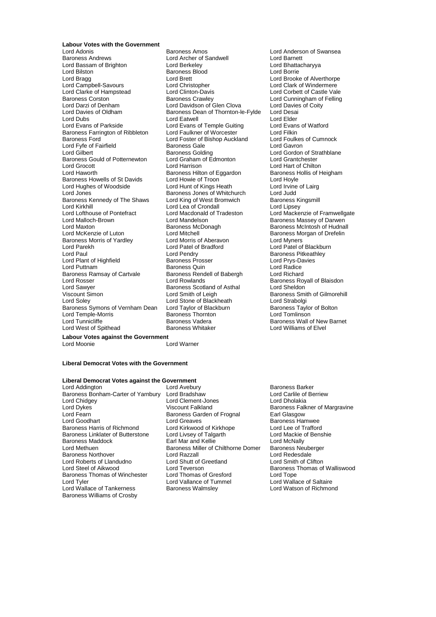# **Labour Votes with the Government**

Lord Adonis **Communist Communist Communist Communist Communist Communist Communist Communist Communist Communist Communist Communist Communist Communist Communist Communist Communist Communist Communist Communist Communist** Lord Bassam of Brighton Lord Berkeley Lord Bhattacharyya Lord Bilston **Baroness Blood**<br> **Lord Bragg**<br>
Lord Brett Lord Campbell-Savours Lord Christopher<br>
Lord Clarke of Hampstead Lord Clinton-Davis Lord Clarke of Hampstead Lord Clinton-Davis Lord Corbett of Castle Vale Baroness Corston **Baroness Crawley** Baroness Crawley Lord Cunningham of Felling<br>
Lord Darzi of Denham Lord Davidson of Glen Clova Lord Davies of Coity Lord Davies of Oldham Baroness Dean of Thornton-le-Fylde Lord Desai<br>Lord Dubs Lord Elder Lord Dubs Lord Eatwell Lord Elder Lord Evans of Parkside **Lord Evans of Temple Guiting** Lord Evans of Watford<br> **Baroness Farrington of Ribbleton** Lord Faulkner of Worcester Lord Filkin Baroness Farrington of Ribbleton Lord Faulkner of Worcester **Lord Filkin**<br>Baroness Ford **Example 2** Lord Foster of Bishop Auckland Lord Foulkes of Cumnock Baroness Ford  $\overline{\phantom{a}}$  Lord Foster of Bishop Auckland Lord Foulkes<br>Lord Fyfe of Fairfield **Baroness** Gale Corress Calle Lord Fyfe of Fairfield **Exercise**<br>
Lord Gilbert **Consumers Baroness Golding**<br>
Lord Gilbert **Baroness Golding** Consumers Lord Gordon of Strathblane Baroness Gould of Potternewton Lord Graham of Edmonton Lord Grantchester Lord Grocott **Lord Harrison**<br>
Lord Hart of Chilton<br>
Lord Hart of Chilton Chilton of Equardon<br>
Lord Hart of Chilis of Heigham Baroness Howells of St Davids<br>
Lord Hoyle Lord Howie of Troon Lord Howie of Lairg<br>
Lord Hunt of Kings Heath Lord Irvine of Lairg Lord Hughes of Woodside Lord Hunt of Kings Heath Lord Irvine<br>Lord Jones Cord Lord Judd<br>
Baroness Jones of Whitchurch Lord Judd Baroness Kennedy of The Shaws Lord King of West Bromwich Baroness Kingsmill Baroness Kingsmill Baroness Kingsmill<br>Lord Kirkhill Lord Lipsey Lord Kirkhill Lord Lea of Crondall<br>
Lord Lofthouse of Pontefract Lord Macdonald of T Lord Lofthouse of Pontefract Lord Macdonald of Tradeston Lord Mackenzie of Framwellgate<br>
Lord Malloch-Brown Lord Mandelson Baroness Massev of Darwen Lord Maxton **Baroness McDonagh** Baroness McIntosh of Hudnall<br>Cord Mitchell Baroness Morgan of Drefelin Baroness Morgan of Drefelin Baroness Morris of Yardley Lord Morris of Aberavon Lord Myners Lord Parekh Lord Patel of Bradford Lord Patel of Blackburn Lord Plant of Highfield Baroness Prosser Lord Prys-Davies Baroness Ramsay of Cartvale Lord Rosser **Lord Rowlands Baroness Royall of Blaisdon** Lord Sawyer **Baroness Scotland of Asthal Lord Sheldon**<br>
Viscount Simon **Baroness Scotland Corporation**<br>
Lord Smith of Leigh Baroness Smith Viscount Simon **Lord Smith of Leigh** Baroness Smith of Gilmorehill<br>
Lord Solev **Baroness** Lord Stone of Blackheath Lord Strabolgi Baroness Symons of Vernham Dean Lord Temple-Morris Baroness Thornton Lord Tomlinson Lord West of Spithead **Labour Votes against the Government**<br>Lord Moonie

Lord Archer of Sandwell Lord Brett Lord Brooke of Alverthorpe<br>
Lord Christopher Cord Clark of Windermere Lord Davidson of Glen Clova Lareness Golding<br>Baroness Golding<br>Lord Graham of Edmonton Baroness Hilton of Eggardon Baroness Hilton of Eggardon Baroness Hollis Cord Hovle Lord Jones Baroness Jones of Whitchurch Lord Judd Lord Mandelson **Communist Communist Communist Communist Communist Communist Communist Communist Communist Communist Communist Communist Communist Communist Communist Communist Communist Communist Communist Communist Commun** Lord Mitchell **Lord Mitchell** Baroness Morgan of Drefelin Lord Pendry<br>
Baroness Prosser<br>
Lord Prys-Davies Baroness Quin<br>
Baroness Rendell of Babergh

Lord Richard Lord Stone of Blackheath Lord Strabolgi<br>
Lord Taylor of Blackburn Baroness Taylor of Bolton Baroness Vadera **Baroness Wall of New Barnet**<br>
Baroness Whitaker<br>
Lord Williams of Elvel

#### **Liberal Democrat Votes with the Government**

#### **Liberal Democrat Votes against the Government**

Lord Addington Lord Avebury Lord Averet Baroness Barker<br>
Baroness Bonham-Carter of Yarnbury Lord Bradshaw 
Baroness Bonham-Carter of Yarnbury Lord Bradshaw 
Baroness Bonham-Carter of Yarnbury Lord Bradshaw Baroness Bonham-Carter of Yarnbury Lord Bradshaw **Lord Carlile of Lord Carlile of Lord Carlile of Lord Carlile of**<br>Lord Clement-Jones Lord Chrolakia Lord Chidgey **Lord Clement-Jones**<br>
Lord Dykes **Lord Dykes**<br>
Viscount Falkland Lord Dykes **The Control Control Control Control Control Control Control Control Control Control Control Control Control Control Control Control Control Control Control Control Control Control Control Control Control Contro** Lord Fearn **Baroness Garden of Frognal**<br> **Baroness Garden of Frognal**<br>
Lord Greaves Lord Goodhart **Lord Greaves**<br>
Baroness Harris of Richmond Lord Kirkwood of Kirkhope **Baroness Hamwee**<br>
Lord Lee of Trafford Baroness Linklater of Butterstone Lord Livsey of Talgarth **Lord Mackie of Benshie** Lord Mackie of Benshie of Bensh<br>Baroness Maddock **Carl Macking Carl Macking Carl Macking Carl Macking Carl Macking Carl Macking Carl Benshi** Baroness Maddock **Earl Mar and Kellie** Lord Methuen **Baroness Miller of Chilthorne Domer** Baroness Neuberger<br>Baroness Northover **Baroness Lord Razzall** Lord Redesdale Baroness Northover Lord Razzall Lord Redesdale Lord Roberts of Llandudno<br>Lord Steel of Aikwood Baroness Thomas of Winchester Lord Thomas of Gresford Lord Tope<br>
Lord Tvler Lord Vallance of Tummel Lord Wallace of Saltaire Lord Wallace of Tankerness Baroness Williams of Crosby

Lord Kirkwood of Kirkhope Lord Lee of Trafford<br>Lord Livsey of Talgarth Lord Mackie of Benshie Lord Teverson<br>
Lord Teverson Baroness Thomas of Walliswood<br>
Lord Thomas of Gresford Lord Tope Lord Vallance of Tummel<br>
Baroness Walmsley<br>
Lord Watson of Richmond

Lord Warner